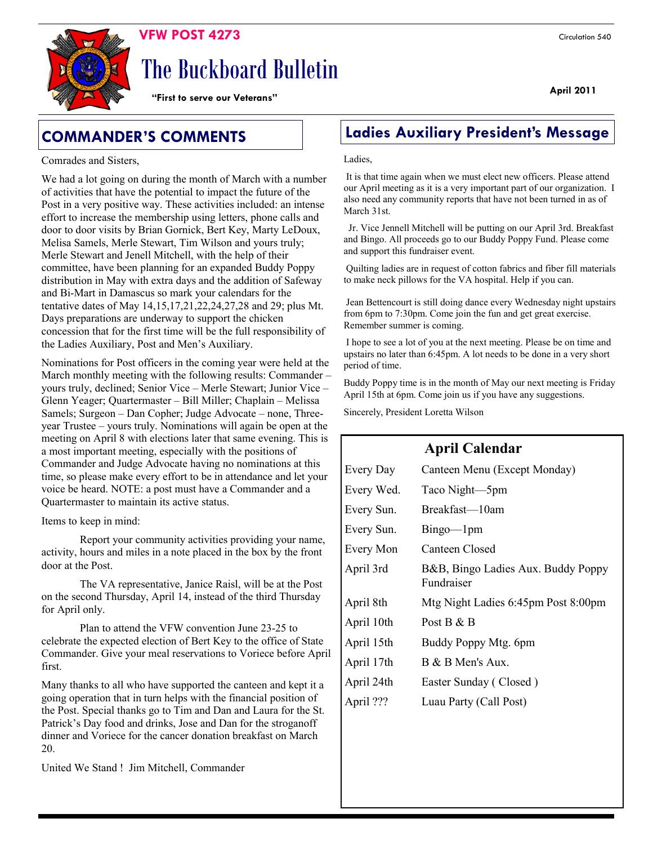

# The Buckboard Bulletin

**"First to serve our Veterans"**

#### Comrades and Sisters,

We had a lot going on during the month of March with a number of activities that have the potential to impact the future of the Post in a very positive way. These activities included: an intense effort to increase the membership using letters, phone calls and door to door visits by Brian Gornick, Bert Key, Marty LeDoux, Melisa Samels, Merle Stewart, Tim Wilson and yours truly; Merle Stewart and Jenell Mitchell, with the help of their committee, have been planning for an expanded Buddy Poppy distribution in May with extra days and the addition of Safeway and Bi-Mart in Damascus so mark your calendars for the tentative dates of May 14,15,17,21,22,24,27,28 and 29; plus Mt. Days preparations are underway to support the chicken concession that for the first time will be the full responsibility of the Ladies Auxiliary, Post and Men's Auxiliary.

Nominations for Post officers in the coming year were held at the March monthly meeting with the following results: Commander – yours truly, declined; Senior Vice – Merle Stewart; Junior Vice – Glenn Yeager; Quartermaster – Bill Miller; Chaplain – Melissa Samels; Surgeon – Dan Copher; Judge Advocate – none, Threeyear Trustee – yours truly. Nominations will again be open at the meeting on April 8 with elections later that same evening. This is a most important meeting, especially with the positions of Commander and Judge Advocate having no nominations at this time, so please make every effort to be in attendance and let your voice be heard. NOTE: a post must have a Commander and a Quartermaster to maintain its active status.

Items to keep in mind:

Report your community activities providing your name, activity, hours and miles in a note placed in the box by the front door at the Post.

The VA representative, Janice Raisl, will be at the Post on the second Thursday, April 14, instead of the third Thursday for April only.

Plan to attend the VFW convention June 23-25 to celebrate the expected election of Bert Key to the office of State Commander. Give your meal reservations to Voriece before April first.

Many thanks to all who have supported the canteen and kept it a going operation that in turn helps with the financial position of the Post. Special thanks go to Tim and Dan and Laura for the St. Patrick's Day food and drinks, Jose and Dan for the stroganoff dinner and Voriece for the cancer donation breakfast on March 20.

United We Stand ! Jim Mitchell, Commander

## **COMMANDER'S COMMENTS Ladies Auxiliary President's Message**

#### Ladies,

It is that time again when we must elect new officers. Please attend our April meeting as it is a very important part of our organization. I also need any community reports that have not been turned in as of March 31st.

 Jr. Vice Jennell Mitchell will be putting on our April 3rd. Breakfast and Bingo. All proceeds go to our Buddy Poppy Fund. Please come and support this fundraiser event.

Quilting ladies are in request of cotton fabrics and fiber fill materials to make neck pillows for the VA hospital. Help if you can.

Jean Bettencourt is still doing dance every Wednesday night upstairs from 6pm to 7:30pm. Come join the fun and get great exercise. Remember summer is coming.

I hope to see a lot of you at the next meeting. Please be on time and upstairs no later than 6:45pm. A lot needs to be done in a very short period of time.

Buddy Poppy time is in the month of May our next meeting is Friday April 15th at 6pm. Come join us if you have any suggestions.

Sincerely, President Loretta Wilson

## **April Calendar**

| Every Day  | Canteen Menu (Except Monday)                     |
|------------|--------------------------------------------------|
| Every Wed. | Taco Night-5pm                                   |
| Every Sun. | Breakfast—10am                                   |
| Every Sun. | $Bingo$ — $1pm$                                  |
| Every Mon  | Canteen Closed                                   |
| April 3rd  | B&B, Bingo Ladies Aux. Buddy Poppy<br>Fundraiser |
| April 8th  | Mtg Night Ladies 6:45pm Post 8:00pm              |
| April 10th | Post B $&B$                                      |
| April 15th | Buddy Poppy Mtg. 6pm                             |
| April 17th | B & B Men's Aux.                                 |
| April 24th | Easter Sunday (Closed)                           |
| April ???  | Luau Party (Call Post)                           |

#### **April 2011**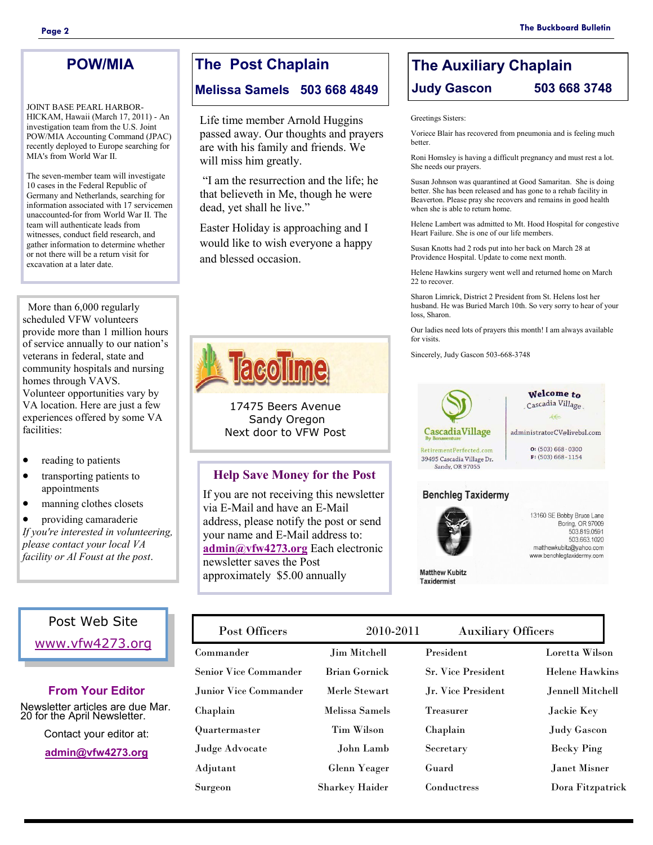## **POW/MIA**

JOINT BASE PEARL HARBOR-HICKAM, Hawaii (March 17, 2011) - An investigation team from the U.S. Joint POW/MIA Accounting Command (JPAC) recently deployed to Europe searching for MIA's from World War II.

The seven-member team will investigate 10 cases in the Federal Republic of Germany and Netherlands, searching for information associated with 17 servicemen unaccounted-for from World War II. The team will authenticate leads from witnesses, conduct field research, and gather information to determine whether or not there will be a return visit for excavation at a later date.

 More than 6,000 regularly scheduled VFW volunteers provide more than 1 million hours of service annually to our nation's veterans in federal, state and community hospitals and nursing homes through VAVS. Volunteer opportunities vary by VA location. Here are just a few experiences offered by some VA facilities:

- reading to patients
- transporting patients to appointments
- manning clothes closets

 providing camaraderie *If you're interested in volunteering, please contact your local VA facility or Al Foust at the post*.

## Post Web Site

[www.vfw4273.org](http://www.vfw4273.org/)

### **From Your Editor**

Newsletter articles are due Mar. 20 for the April Newsletter.

Contact your editor at:

**[admin@vfw4273.org](mailto:admin@vfw4273.org)**

## **The Post Chaplain**

**Melissa Samels 503 668 4849**

Life time member Arnold Huggins passed away. Our thoughts and prayers are with his family and friends. We will miss him greatly.

―I am the resurrection and the life; he that believeth in Me, though he were dead, yet shall he live."

Easter Holiday is approaching and I would like to wish everyone a happy and blessed occasion.



17475 Beers Avenue Sandy Oregon Next door to VFW Post

### **Help Save Money for the Post**

If you are not receiving this newsletter via E-Mail and have an E-Mail address, please notify the post or send your name and E-Mail address to: **[admin@vfw4273.org](mailto:admin@vfw4273.org)** Each electronic newsletter saves the Post approximately \$5.00 annually

## **The Auxiliary Chaplain Judy Gascon 503 668 3748**

Greetings Sisters:

Voriece Blair has recovered from pneumonia and is feeling much better.

Roni Homsley is having a difficult pregnancy and must rest a lot. She needs our prayers.

Susan Johnson was quarantined at Good Samaritan. She is doing better. She has been released and has gone to a rehab facility in Beaverton. Please pray she recovers and remains in good health when she is able to return home.

Helene Lambert was admitted to Mt. Hood Hospital for congestive Heart Failure. She is one of our life members.

Susan Knotts had 2 rods put into her back on March 28 at Providence Hospital. Update to come next month.

Helene Hawkins surgery went well and returned home on March 22 to recover.

Sharon Limrick, District 2 President from St. Helens lost her husband. He was Buried March 10th. So very sorry to hear of your loss, Sharon.

Our ladies need lots of prayers this month! I am always available for visits.

Sincerely, Judy Gascon 503-668-3748



Welcome to Cascadia Village  $ee$ 

administratorCV@livebsl.com  $\mathbf{0}$ : (503) 668 - 0300

 $F: (503) 668 - 1154$ 

RetirementPerfected.com 39495 Cascadia Village Dr. Sandy, OR 97055

## **Benchleg Taxidermy**



**Matthew Kubitz Taxidermist** 

13160 SE Bobby Bruce Lane Boring, OR 97009 503.819.0591 503.663.1020 matthewkubitz@yahoo.com www.benchlegtaxidermy.com

Commander Jim Mitchell Senior Vice Commander Brian Gornick Junior Vice Commander Merle Stewart Chaplain Melissa Samels Quartermaster Tim Wilson Judge Advocate John Lamb Adjutant Glenn Yeager Surgeon Sharkey Haider President Loretta Wilson Sr. Vice President Helene Hawkins Jr. Vice President Jennell Mitchell Treasurer Jackie Key Chaplain Judy Gascon Secretary Becky Ping Guard Janet Misner Conductress Dora Fitzpatrick Post Officers 2010-2011 Auxiliary Officers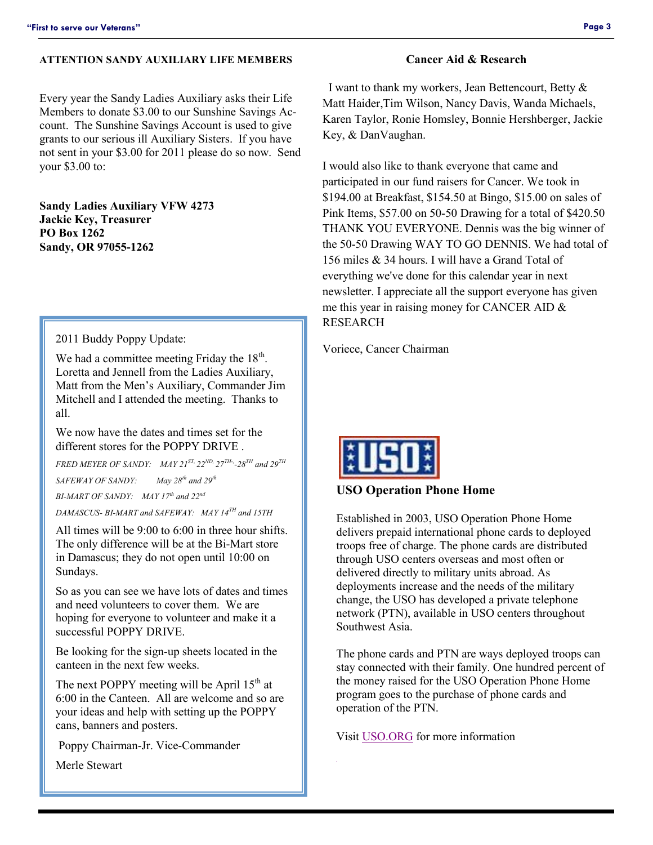#### **ATTENTION SANDY AUXILIARY LIFE MEMBERS**

Every year the Sandy Ladies Auxiliary asks their Life Members to donate \$3.00 to our Sunshine Savings Account. The Sunshine Savings Account is used to give grants to our serious ill Auxiliary Sisters. If you have not sent in your \$3.00 for 2011 please do so now. Send your \$3.00 to:

**Sandy Ladies Auxiliary VFW 4273 Jackie Key, Treasurer PO Box 1262 Sandy, OR 97055-1262**

2011 Buddy Poppy Update:

We had a committee meeting Friday the  $18<sup>th</sup>$ . Loretta and Jennell from the Ladies Auxiliary, Matt from the Men's Auxiliary, Commander Jim Mitchell and I attended the meeting. Thanks to all.

We now have the dates and times set for the different stores for the POPPY DRIVE .

*FRED MEYER OF SANDY: MAY 21ST, 22ND, 27TH-, -28TH and 29TH SAFEWAY OF SANDY: May 28th and 29th*

*BI-MART OF SANDY: MAY 17th and 22nd*

*DAMASCUS- BI-MART and SAFEWAY: MAY 14TH and 15TH*

All times will be 9:00 to 6:00 in three hour shifts. The only difference will be at the Bi-Mart store in Damascus; they do not open until 10:00 on Sundays.

So as you can see we have lots of dates and times and need volunteers to cover them. We are hoping for everyone to volunteer and make it a successful POPPY DRIVE.

Be looking for the sign-up sheets located in the canteen in the next few weeks.

The next POPPY meeting will be April  $15<sup>th</sup>$  at 6:00 in the Canteen. All are welcome and so are your ideas and help with setting up the POPPY cans, banners and posters.

Poppy Chairman-Jr. Vice-Commander

Merle Stewart

#### **Cancer Aid & Research**

 I want to thank my workers, Jean Bettencourt, Betty & Matt Haider,Tim Wilson, Nancy Davis, Wanda Michaels, Karen Taylor, Ronie Homsley, Bonnie Hershberger, Jackie Key, & DanVaughan.

I would also like to thank everyone that came and participated in our fund raisers for Cancer. We took in \$194.00 at Breakfast, \$154.50 at Bingo, \$15.00 on sales of Pink Items, \$57.00 on 50-50 Drawing for a total of \$420.50 THANK YOU EVERYONE. Dennis was the big winner of the 50-50 Drawing WAY TO GO DENNIS. We had total of 156 miles & 34 hours. I will have a Grand Total of everything we've done for this calendar year in next newsletter. I appreciate all the support everyone has given me this year in raising money for CANCER AID & RESEARCH

Voriece, Cancer Chairman



#### **USO Operation Phone Home**

Established in 2003, USO Operation Phone Home delivers prepaid international phone cards to deployed troops free of charge. The phone cards are distributed through USO centers overseas and most often or delivered directly to military units abroad. As deployments increase and the needs of the military change, the USO has developed a private telephone network (PTN), available in USO centers throughout Southwest Asia.

The phone cards and PTN are ways deployed troops can stay connected with their family. One hundred percent of the money raised for the USO Operation Phone Home program goes to the purchase of phone cards and operation of the PTN.

Visit [USO.ORG](http://www.uso.org/uso-operation-phone-home.aspx) for more information